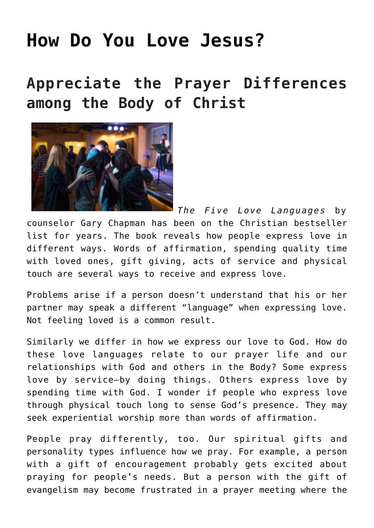## **[How Do You Love Jesus?](https://www.prayerleader.com/how-do-you-love-jesus/)**

## **Appreciate the Prayer Differences among the Body of Christ**



*The Five Love Languages* by counselor Gary Chapman has been on the Christian bestseller list for years. The book reveals how people express love in different ways. Words of affirmation, spending quality time with loved ones, gift giving, acts of service and physical touch are several ways to receive and express love.

Problems arise if a person doesn't understand that his or her partner may speak a different "language" when expressing love. Not feeling loved is a common result.

Similarly we differ in how we express our love to God. How do these love languages relate to our prayer life and our relationships with God and others in the Body? Some express love by service—by doing things. Others express love by spending time with God. I wonder if people who express love through physical touch long to sense God's presence. They may seek experiential worship more than words of affirmation.

People pray differently, too. Our spiritual gifts and personality types influence how we pray. For example, a person with a gift of encouragement probably gets excited about praying for people's needs. But a person with the gift of evangelism may become frustrated in a prayer meeting where the